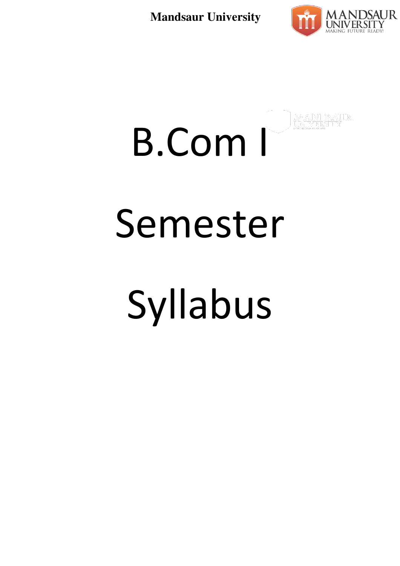

# B.Com I Semester Syllabus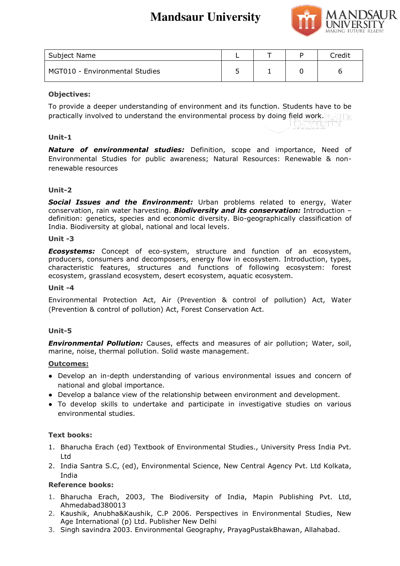

| Subject Name                   |  | `redit |
|--------------------------------|--|--------|
| MGT010 - Environmental Studies |  | r      |

# **Objectives:**

To provide a deeper understanding of environment and its function. Students have to be practically involved to understand the environmental process by doing field work.

# **Unit-1**

*Nature of environmental studies:* Definition, scope and importance, Need of Environmental Studies for public awareness; Natural Resources: Renewable & nonrenewable resources

# **Unit-2**

*Social Issues and the Environment:* Urban problems related to energy, Water conservation, rain water harvesting. *Biodiversity and its conservation:* Introduction – definition: genetics, species and economic diversity. Bio-geographically classification of India. Biodiversity at global, national and local levels.

## **Unit -3**

*Ecosystems:* Concept of eco-system, structure and function of an ecosystem, producers, consumers and decomposers, energy flow in ecosystem. Introduction, types, characteristic features, structures and functions of following ecosystem: forest ecosystem, grassland ecosystem, desert ecosystem, aquatic ecosystem.

## **Unit -4**

Environmental Protection Act, Air (Prevention & control of pollution) Act, Water (Prevention & control of pollution) Act, Forest Conservation Act.

## **Unit-5**

*Environmental Pollution:* Causes, effects and measures of air pollution; Water, soil, marine, noise, thermal pollution. Solid waste management.

## **Outcomes:**

- Develop an in-depth understanding of various environmental issues and concern of national and global importance.
- Develop a balance view of the relationship between environment and development.
- To develop skills to undertake and participate in investigative studies on various environmental studies.

## **Text books:**

- 1. Bharucha Erach (ed) Textbook of Environmental Studies., University Press India Pvt. Ltd
- 2. India Santra S.C, (ed), Environmental Science, New Central Agency Pvt. Ltd Kolkata, India

- 1. Bharucha Erach, 2003, The Biodiversity of India, Mapin Publishing Pvt. Ltd, Ahmedabad380013
- 2. Kaushik, Anubha&Kaushik, C.P 2006. Perspectives in Environmental Studies, New Age International (p) Ltd. Publisher New Delhi
- 3. Singh savindra 2003. Environmental Geography, PrayagPustakBhawan, Allahabad.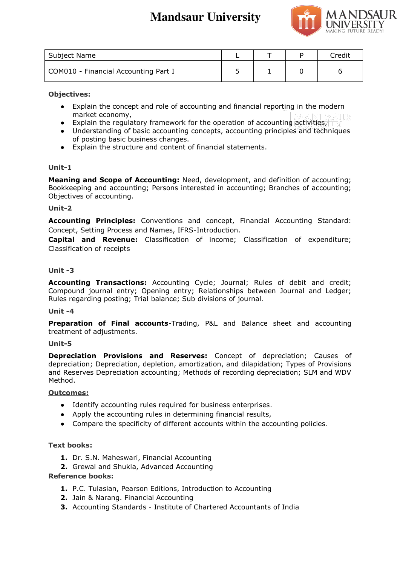

| Subject Name                         |  | Credit |
|--------------------------------------|--|--------|
| COM010 - Financial Accounting Part I |  |        |

**Objectives:** 

- Explain the concept and role of accounting and financial reporting in the modern market economy,
- Explain the regulatory framework for the operation of accounting activities,
- Understanding of basic accounting concepts, accounting principles and techniques of posting basic business changes.
- Explain the structure and content of financial statements.

# **Unit-1**

**Meaning and Scope of Accounting:** Need, development, and definition of accounting; Bookkeeping and accounting; Persons interested in accounting; Branches of accounting; Objectives of accounting.

# **Unit-2**

**Accounting Principles:** Conventions and concept, Financial Accounting Standard: Concept, Setting Process and Names, IFRS-Introduction.

**Capital and Revenue:** Classification of income; Classification of expenditure; Classification of receipts

# **Unit -3**

**Accounting Transactions:** Accounting Cycle; Journal; Rules of debit and credit; Compound journal entry; Opening entry; Relationships between Journal and Ledger; Rules regarding posting; Trial balance; Sub divisions of journal.

## **Unit -4**

**Preparation of Final accounts**-Trading, P&L and Balance sheet and accounting treatment of adjustments.

## **Unit-5**

**Depreciation Provisions and Reserves:** Concept of depreciation; Causes of depreciation; Depreciation, depletion, amortization, and dilapidation; Types of Provisions and Reserves Depreciation accounting; Methods of recording depreciation; SLM and WDV Method.

## **Outcomes:**

- Identify accounting rules required for business enterprises.
- Apply the accounting rules in determining financial results,
- Compare the specificity of different accounts within the accounting policies.

## **Text books:**

- **1.** Dr. S.N. Maheswari, Financial Accounting
- **2.** Grewal and Shukla, Advanced Accounting

- **1.** P.C. Tulasian, Pearson Editions, Introduction to Accounting
- **2.** Jain & Narang. Financial Accounting
- **3.** Accounting Standards Institute of Chartered Accountants of India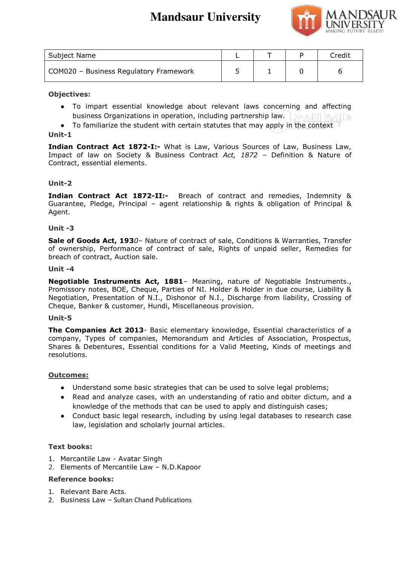

| Subject Name                           |  | Credit |
|----------------------------------------|--|--------|
| COM020 - Business Regulatory Framework |  |        |

# **Objectives:**

- To impart essential knowledge about relevant laws concerning and affecting business Organizations in operation, including partnership law.
- To familiarize the student with certain statutes that may apply in the context

# **Unit-1**

**Indian Contract Act 1872-I:-** What is Law, Various Sources of Law, Business Law, Impact of law on Society & Business Contract *Act, 1872* – Definition & Nature of Contract, essential elements.

# **Unit-2**

**Indian Contract Act 1872-II:-** Breach of contract and remedies, Indemnity & Guarantee, Pledge, Principal – agent relationship & rights & obligation of Principal & Agent.

## **Unit -3**

**Sale of Goods Act, 193***0*– Nature of contract of sale, Conditions & Warranties, Transfer of ownership, Performance of contract of sale, Rights of unpaid seller, Remedies for breach of contract, Auction sale.

## **Unit -4**

**Negotiable Instruments Act, 1881**– Meaning, nature of Negotiable Instruments., Promissory notes, BOE, Cheque, Parties of NI. Holder & Holder in due course, Liability & Negotiation, Presentation of N.I., Dishonor of N.I., Discharge from liability, Crossing of Cheque, Banker & customer, Hundi, Miscellaneous provision.

## **Unit-5**

**The Companies Act 2013**- Basic elementary knowledge, Essential characteristics of a company, Types of companies, Memorandum and Articles of Association, Prospectus, Shares & Debentures, Essential conditions for a Valid Meeting, Kinds of meetings and resolutions.

## **Outcomes:**

- Understand some basic strategies that can be used to solve legal problems;
- Read and analyze cases, with an understanding of ratio and obiter dictum, and a knowledge of the methods that can be used to apply and distinguish cases;
- Conduct basic legal research, including by using legal databases to research case law, legislation and scholarly journal articles.

## **Text books:**

- 1. Mercantile Law Avatar Singh
- 2. Elements of Mercantile Law N.D.Kapoor

- 1. Relevant Bare Acts.
- 2. Business Law Sultan Chand Publications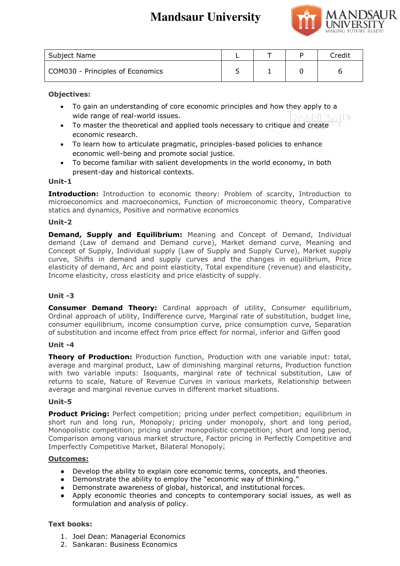

| Subject Name                     |  | Credit. |
|----------------------------------|--|---------|
| COM030 - Principles of Economics |  |         |

# **Objectives:**

- To gain an understanding of core economic principles and how they apply to a wide range of real-world issues.
- To master the theoretical and applied tools necessary to critique and create economic research.
- To learn how to articulate pragmatic, principles-based policies to enhance economic well-being and promote social justice.
- To become familiar with salient developments in the world economy, in both present-day and historical contexts.

# **Unit-1**

**Introduction:** Introduction to economic theory: Problem of scarcity, Introduction to microeconomics and macroeconomics, Function of microeconomic theory, Comparative statics and dynamics, Positive and normative economics

# **Unit-2**

**Demand, Supply and Equilibrium:** Meaning and Concept of Demand, Individual demand (Law of demand and Demand curve), Market demand curve, Meaning and Concept of Supply, Individual supply (Law of Supply and Supply Curve), Market supply curve, Shifts in demand and supply curves and the changes in equilibrium, Price elasticity of demand, Arc and point elasticity, Total expenditure (revenue) and elasticity, Income elasticity, cross elasticity and price elasticity of supply.

# **Unit -3**

**Consumer Demand Theory:** Cardinal approach of utility, Consumer equilibrium, Ordinal approach of utility, Indifference curve, Marginal rate of substitution, budget line, consumer equilibrium, income consumption curve, price consumption curve, Separation of substitution and income effect from price effect for normal, inferior and Giffen good

## **Unit -4**

**Theory of Production:** Production function, Production with one variable input: total, average and marginal product, Law of diminishing marginal returns, Production function with two variable inputs: Isoquants, marginal rate of technical substitution, Law of returns to scale, Nature of Revenue Curves in various markets, Relationship between average and marginal revenue curves in different market situations.

## **Unit-5**

**Product Pricing:** Perfect competition; pricing under perfect competition; equilibrium in short run and long run, Monopoly; pricing under monopoly, short and long period, Monopolistic competition; pricing under monopolistic competition; short and long period, Comparison among various market structure, Factor pricing in Perfectly Competitive and Imperfectly Competitive Market, Bilateral Monopoly.

# **Outcomes:**

- Develop the ability to explain core economic terms, concepts, and theories.
- Demonstrate the ability to employ the "economic way of thinking."
- Demonstrate awareness of global, historical, and institutional forces.
- Apply economic theories and concepts to contemporary social issues, as well as formulation and analysis of policy.

## **Text books:**

- 1. Joel Dean: Managerial Economics
- 2. Sankaran: Business Economics